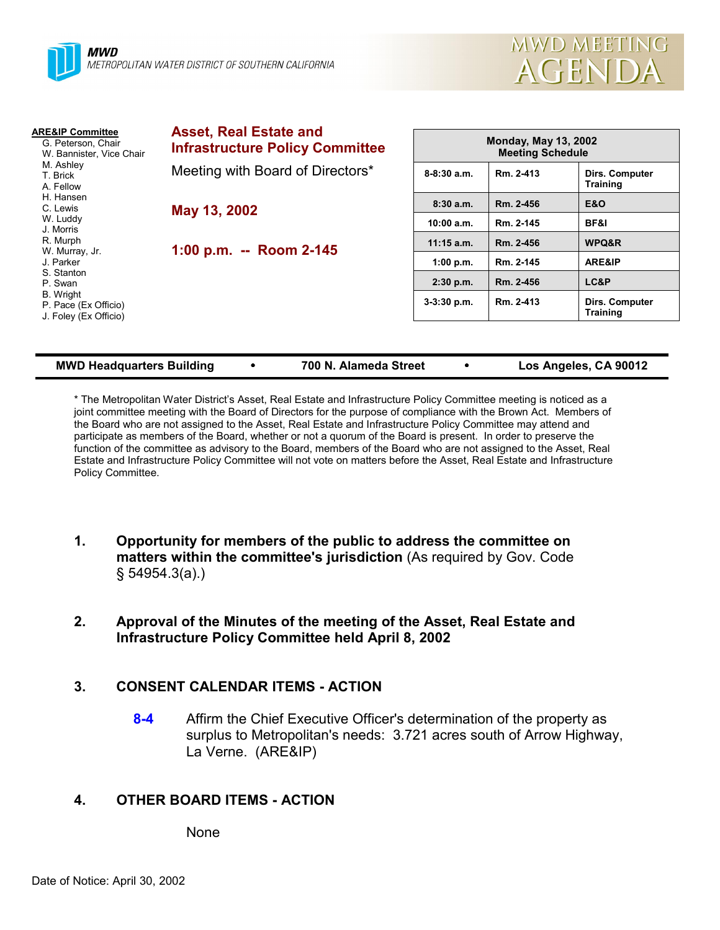

| <b>ARE&amp;IP Committee</b><br>G. Peterson, Chair<br>W. Bannister, Vice Chair<br>M. Ashley<br>T. Brick<br>A. Fellow | <b>Asset, Real Estate and</b><br><b>Infrastructure Policy Committee</b> | <b>Monday, May 13, 2002</b><br><b>Meeting Schedule</b> |           |                                          |
|---------------------------------------------------------------------------------------------------------------------|-------------------------------------------------------------------------|--------------------------------------------------------|-----------|------------------------------------------|
|                                                                                                                     | Meeting with Board of Directors*                                        | $8-8:30$ a.m.                                          | Rm. 2-413 | <b>Dirs. Computer</b><br><b>Training</b> |
| H. Hansen<br>C. Lewis                                                                                               | May 13, 2002<br>1:00 p.m. -- Room 2-145                                 | 8:30a.m.                                               | Rm. 2-456 | <b>E&amp;O</b>                           |
| W. Luddy<br>J. Morris                                                                                               |                                                                         | 10:00 a.m.                                             | Rm. 2-145 | <b>BF&amp;I</b>                          |
| R. Murph<br>W. Murray, Jr.                                                                                          |                                                                         | $11:15$ a.m.                                           | Rm. 2-456 | WPQ&R                                    |
| J. Parker                                                                                                           |                                                                         | 1:00 p.m.                                              | Rm. 2-145 | ARE&IP                                   |
| S. Stanton<br>P. Swan                                                                                               |                                                                         | $2:30$ p.m.                                            | Rm. 2-456 | LC&P                                     |
| B. Wright<br>P. Pace (Ex Officio)<br>J. Foley (Ex Officio)                                                          |                                                                         | $3-3:30$ p.m.                                          | Rm. 2-413 | Dirs. Computer<br><b>Training</b>        |

#### **MWD Headquarters Building** ! **700 N. Alameda Street** ! **Los Angeles, CA 90012**

\* The Metropolitan Water Districtís Asset, Real Estate and Infrastructure Policy Committee meeting is noticed as a joint committee meeting with the Board of Directors for the purpose of compliance with the Brown Act. Members of the Board who are not assigned to the Asset, Real Estate and Infrastructure Policy Committee may attend and participate as members of the Board, whether or not a quorum of the Board is present. In order to preserve the function of the committee as advisory to the Board, members of the Board who are not assigned to the Asset, Real Estate and Infrastructure Policy Committee will not vote on matters before the Asset, Real Estate and Infrastructure Policy Committee.

- **1. Opportunity for members of the public to address the committee on matters within the committee's jurisdiction** (As required by Gov. Code ß 54954.3(a).)
- **2. Approval of the Minutes of the meeting of the Asset, Real Estate and Infrastructure Policy Committee held April 8, 2002**

### **3. CONSENT CALENDAR ITEMS - ACTION**

**8-4** Affirm the Chief Executive Officer's determination of the property as surplus to Metropolitan's needs: 3.721 acres south of Arrow Highway, La Verne. (ARE&IP)

# **4. OTHER BOARD ITEMS - ACTION**

None